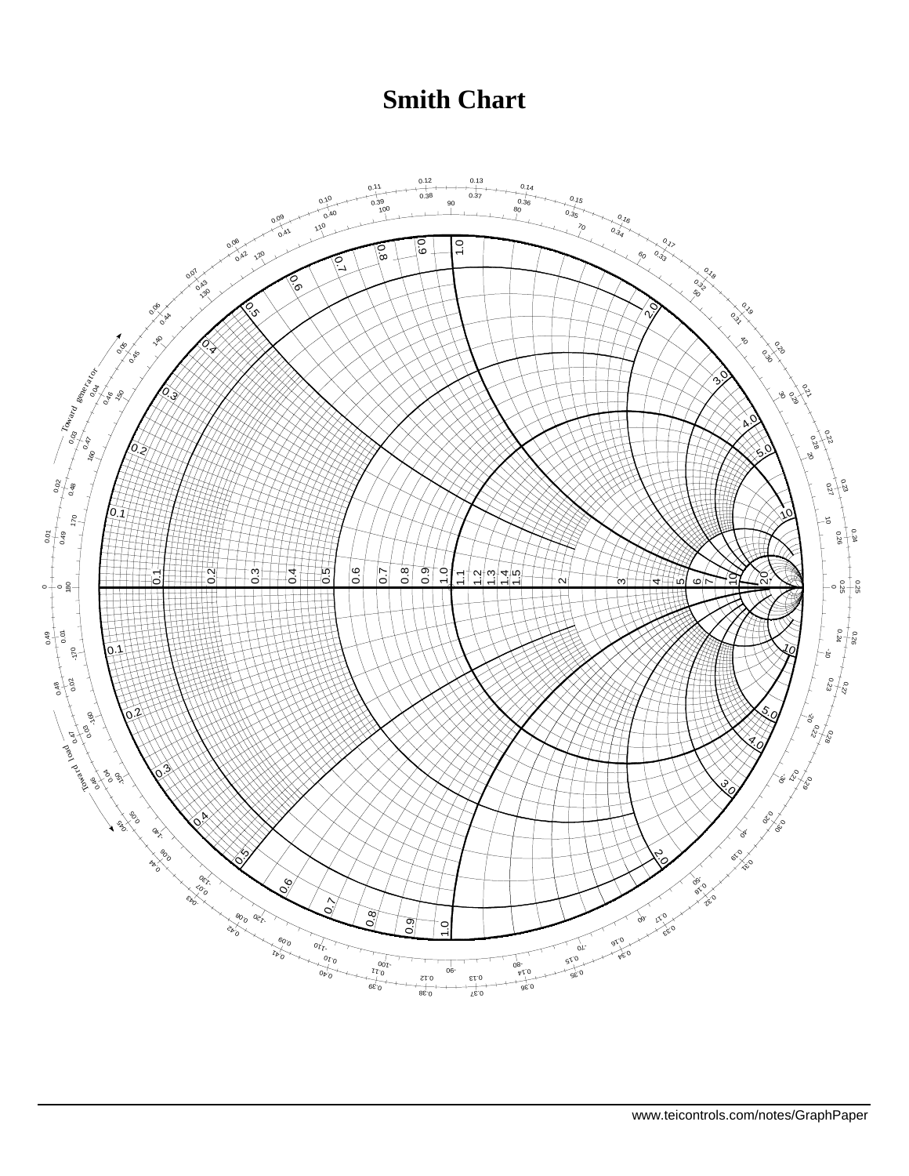## **Smith Chart**